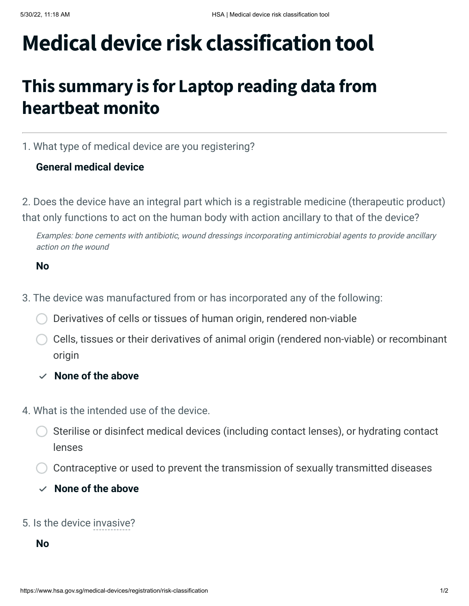# **Medical device risk classification tool**

## **This summary is for Laptop reading data from heartbeat monito**

1. What type of medical device are you registering?

### **General medical device**

2. Does the device have an integral part which is a registrable medicine (therapeutic product) that only functions to act on the human body with action ancillary to that of the device?

Examples: bone cements with antibiotic, wound dressings incorporating antimicrobial agents to provide ancillary action on the wound

#### **No**

- 3. The device was manufactured from or has incorporated any of the following:
	- Derivatives of cells or tissues of human origin, rendered non-viable
	- Cells, tissues or their derivatives of animal origin (rendered non-viable) or recombinant origin
	- **None of the above**
- 4. What is the intended use of the device.
	- Sterilise or disinfect medical devices (including contact lenses), or hydrating contact lenses
	- Contraceptive or used to prevent the transmission of sexually transmitted diseases
	- $\vee$  None of the above

#### 5. Is the device invasive?

#### **No**